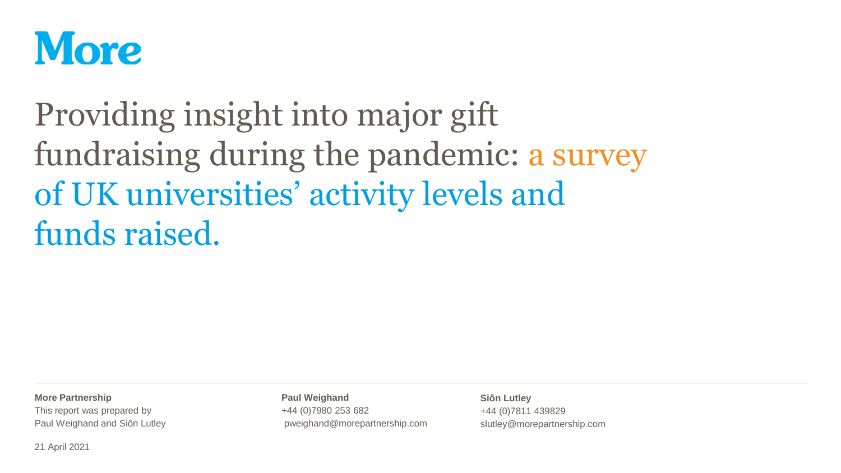

# Providing insight into major gift fundraising during the pandemic: a survey of UK universities' activity levels and funds raised.

**More Partnership**

This report was prepared by Paul Weighand and Siôn Lutley **Paul Weighand** +44 (0)7980 253 682 pweighand@morepartnership.com

**Siôn Lutley** +44 (0)7811 439829 slutley@morepartnership.com

21 April 2021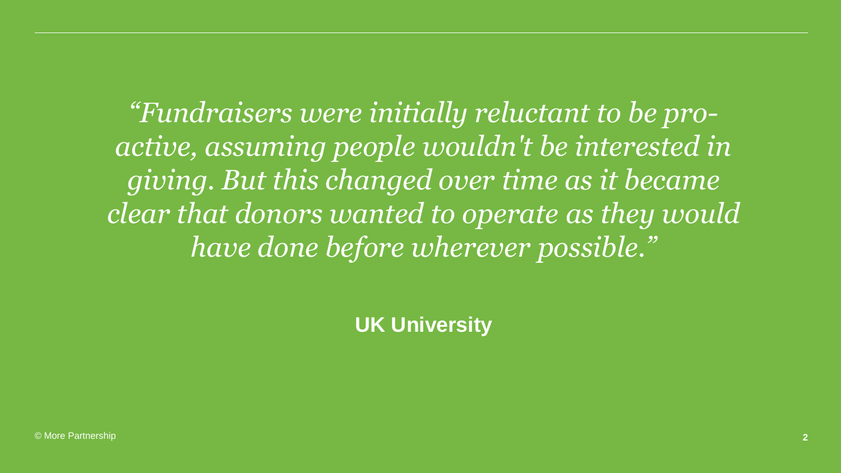*"Fundraisers were initially reluctant to be proactive, assuming people wouldn't be interested in giving. But this changed over time as it became clear that donors wanted to operate as they would have done before wherever possible."*

**UK University**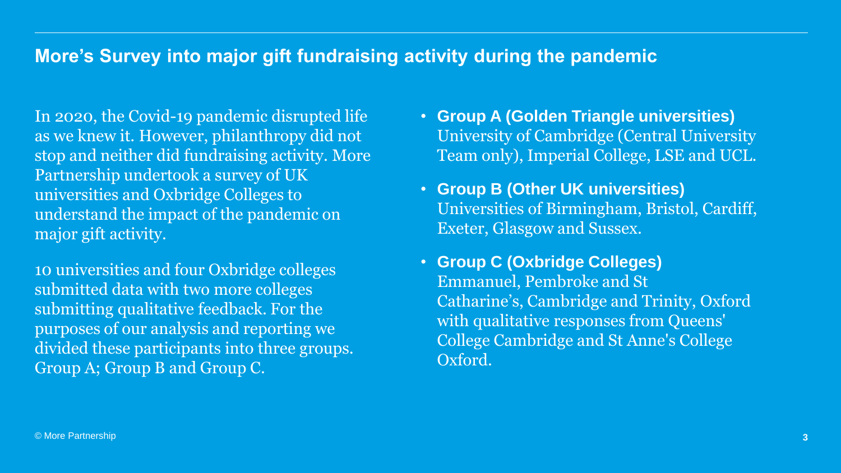#### **More's Survey into major gift fundraising activity during the pandemic**

In 2020, the Covid-19 pandemic disrupted life as we knew it. However, philanthropy did not stop and neither did fundraising activity. More Partnership undertook a survey of UK universities and Oxbridge Colleges to understand the impact of the pandemic on major gift activity.

10 universities and four Oxbridge colleges submitted data with two more colleges submitting qualitative feedback. For the purposes of our analysis and reporting we divided these participants into three groups. Group A; Group B and Group C.

- **Group A (Golden Triangle universities)** University of Cambridge (Central University Team only), Imperial College, LSE and UCL.
- **Group B (Other UK universities)** Universities of Birmingham, Bristol, Cardiff, Exeter, Glasgow and Sussex.
- **Group C (Oxbridge Colleges)** Emmanuel, Pembroke and St Catharine's, Cambridge and Trinity, Oxford with qualitative responses from Queens' College Cambridge and St Anne's College Oxford.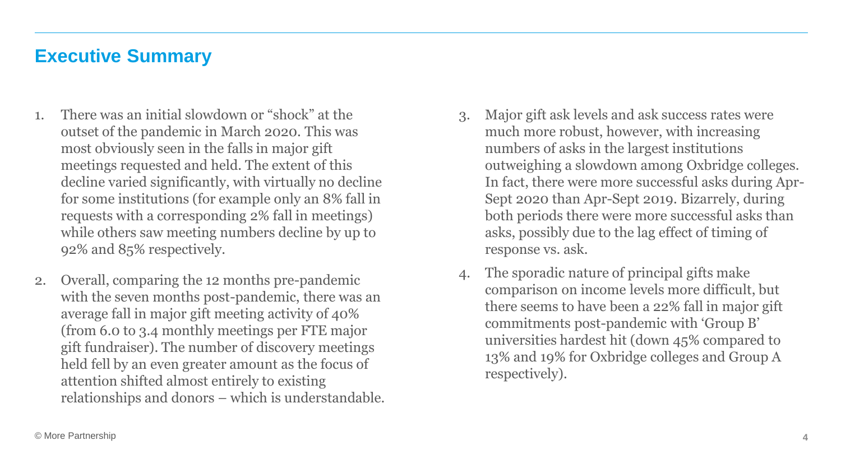#### **Executive Summary**

- 1. There was an initial slowdown or "shock" at the outset of the pandemic in March 2020. This was most obviously seen in the falls in major gift meetings requested and held. The extent of this decline varied significantly, with virtually no decline for some institutions (for example only an 8% fall in requests with a corresponding 2% fall in meetings) while others saw meeting numbers decline by up to 92% and 85% respectively.
- 2. Overall, comparing the 12 months pre-pandemic with the seven months post-pandemic, there was an average fall in major gift meeting activity of 40% (from 6.0 to 3.4 monthly meetings per FTE major gift fundraiser). The number of discovery meetings held fell by an even greater amount as the focus of attention shifted almost entirely to existing relationships and donors – which is understandable.
- 3. Major gift ask levels and ask success rates were much more robust, however, with increasing numbers of asks in the largest institutions outweighing a slowdown among Oxbridge colleges. In fact, there were more successful asks during Apr-Sept 2020 than Apr-Sept 2019. Bizarrely, during both periods there were more successful asks than asks, possibly due to the lag effect of timing of response vs. ask.
- 4. The sporadic nature of principal gifts make comparison on income levels more difficult, but there seems to have been a 22% fall in major gift commitments post-pandemic with 'Group B' universities hardest hit (down 45% compared to 13% and 19% for Oxbridge colleges and Group A respectively).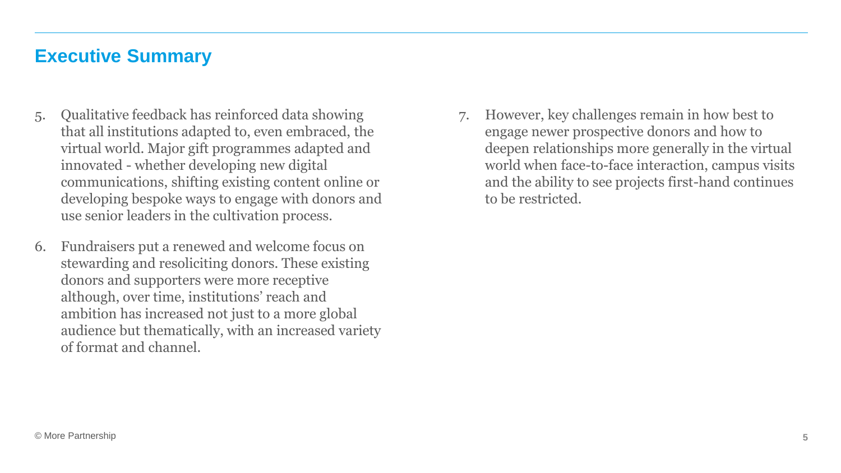#### **Executive Summary**

- 5. Qualitative feedback has reinforced data showing that all institutions adapted to, even embraced, the virtual world. Major gift programmes adapted and innovated - whether developing new digital communications, shifting existing content online or developing bespoke ways to engage with donors and use senior leaders in the cultivation process.
- 6. Fundraisers put a renewed and welcome focus on stewarding and resoliciting donors. These existing donors and supporters were more receptive although, over time, institutions' reach and ambition has increased not just to a more global audience but thematically, with an increased variety of format and channel.

7. However, key challenges remain in how best to engage newer prospective donors and how to deepen relationships more generally in the virtual world when face-to-face interaction, campus visits and the ability to see projects first-hand continues to be restricted.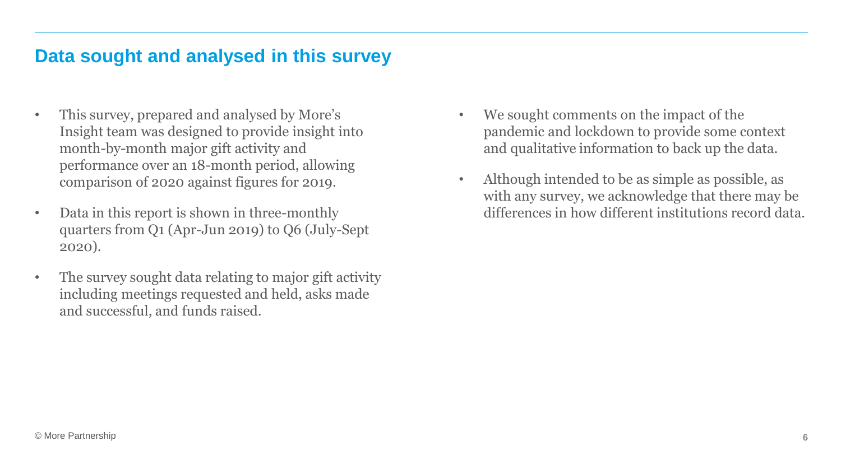#### **Data sought and analysed in this survey**

- This survey, prepared and analysed by More's Insight team was designed to provide insight into month-by-month major gift activity and performance over an 18-month period, allowing comparison of 2020 against figures for 2019.
- Data in this report is shown in three-monthly quarters from Q1 (Apr-Jun 2019) to Q6 (July-Sept 2020).
- The survey sought data relating to major gift activity including meetings requested and held, asks made and successful, and funds raised.
- We sought comments on the impact of the pandemic and lockdown to provide some context and qualitative information to back up the data.
- Although intended to be as simple as possible, as with any survey, we acknowledge that there may be differences in how different institutions record data.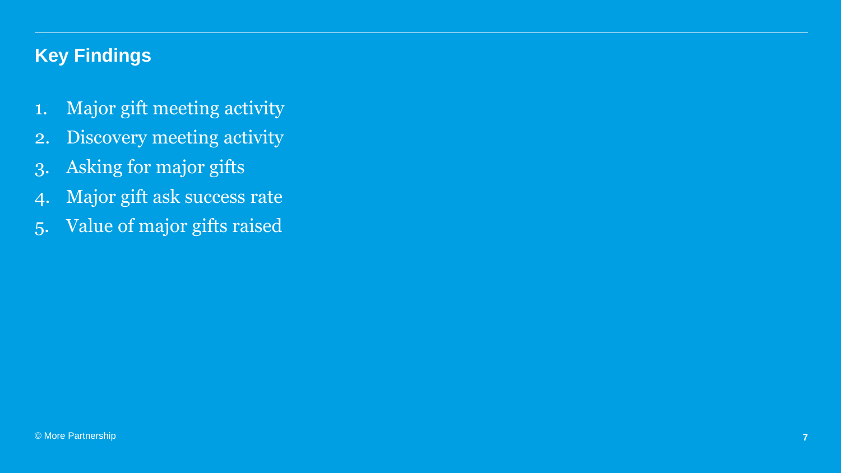# **Key Findings**

- 1. Major gift meeting activity
- 2. Discovery meeting activity
- 3. Asking for major gifts
- 4. Major gift ask success rate
- 5. Value of major gifts raised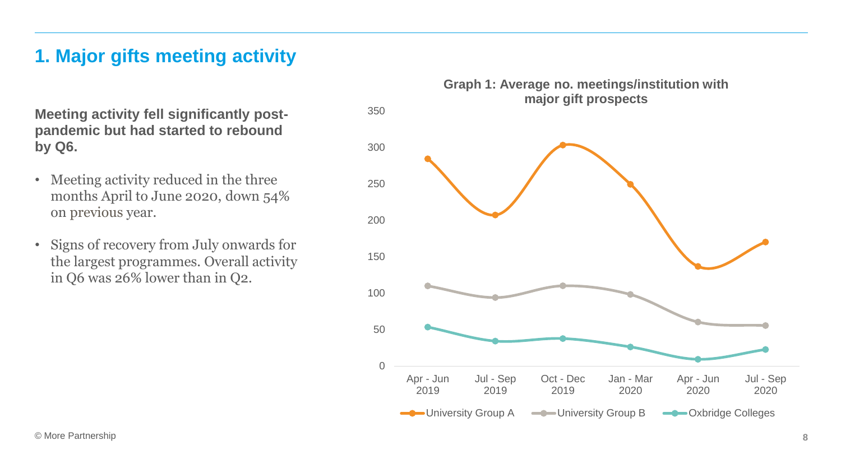# **1. Major gifts meeting activity**

**Meeting activity fell significantly postpandemic but had started to rebound by Q6.**

- Meeting activity reduced in the three months April to June 2020, down 54% on previous year.
- Signs of recovery from July onwards for the largest programmes. Overall activity in Q6 was 26% lower than in Q2.



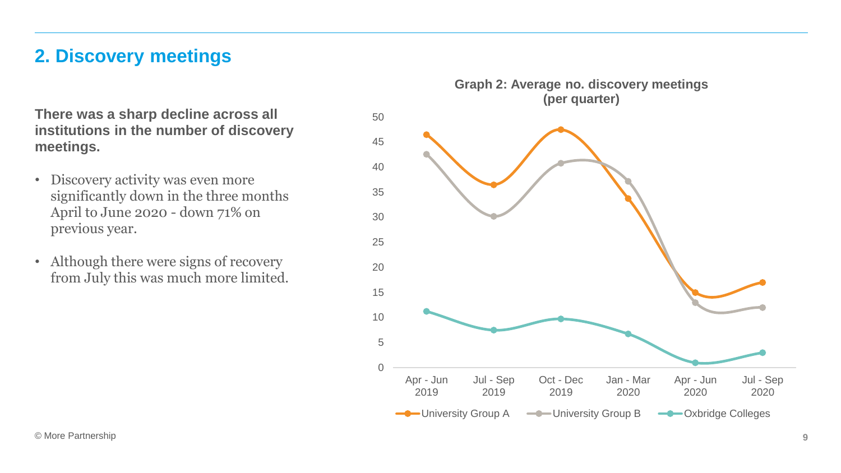#### **2. Discovery meetings**

**There was a sharp decline across all institutions in the number of discovery meetings.**

- Discovery activity was even more significantly down in the three months April to June 2020 - down 71% on previous year.
- Although there were signs of recovery from July this was much more limited.

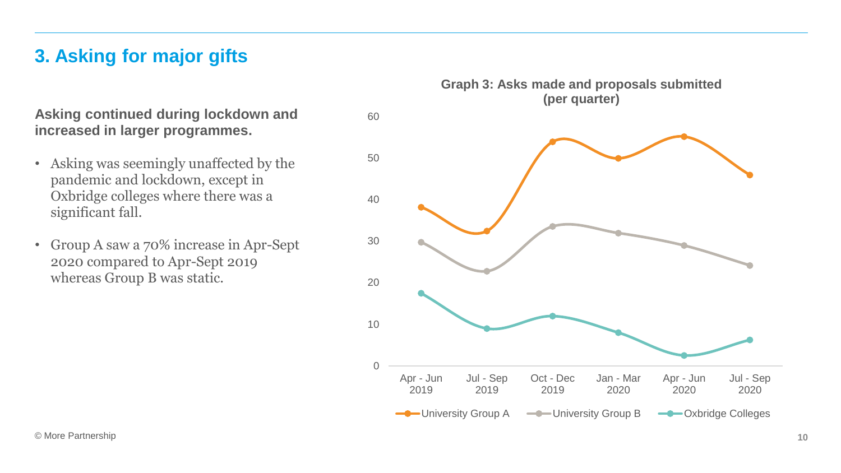# **3. Asking for major gifts**

**Asking continued during lockdown and increased in larger programmes.**

- Asking was seemingly unaffected by the pandemic and lockdown, except in Oxbridge colleges where there was a significant fall.
- Group A saw a 70% increase in Apr-Sept 2020 compared to Apr-Sept 2019 whereas Group B was static.

 $\Omega$ 10 20 30 40 50 60 Apr - Jun 2019 Jul - Sep 2019 Oct - Dec 2019 Jan - Mar 2020 Apr - Jun 2020 Jul - Sep 2020 **Graph 3: Asks made and proposals submitted (per quarter)** University Group A ——University Group B ——Oxbridge Colleges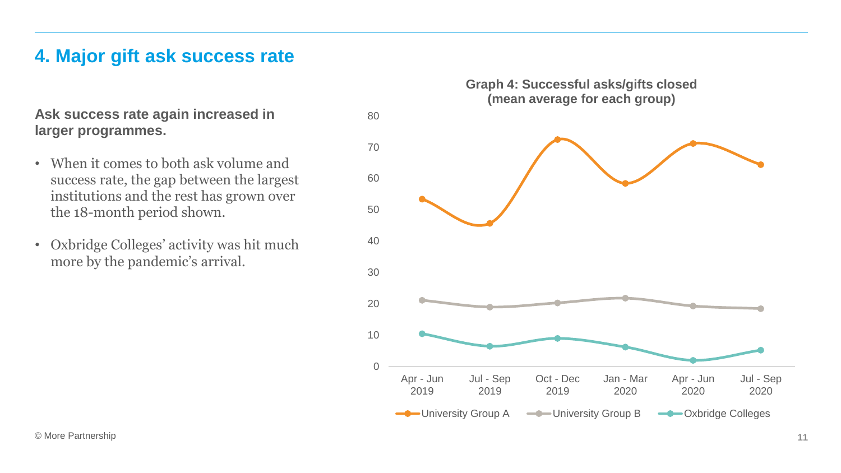#### **4. Major gift ask success rate**

**Ask success rate again increased in larger programmes.**

- When it comes to both ask volume and success rate, the gap between the largest institutions and the rest has grown over the 18-month period shown.
- Oxbridge Colleges' activity was hit much more by the pandemic's arrival.

**Graph 4: Successful asks/gifts closed (mean average for each group)**

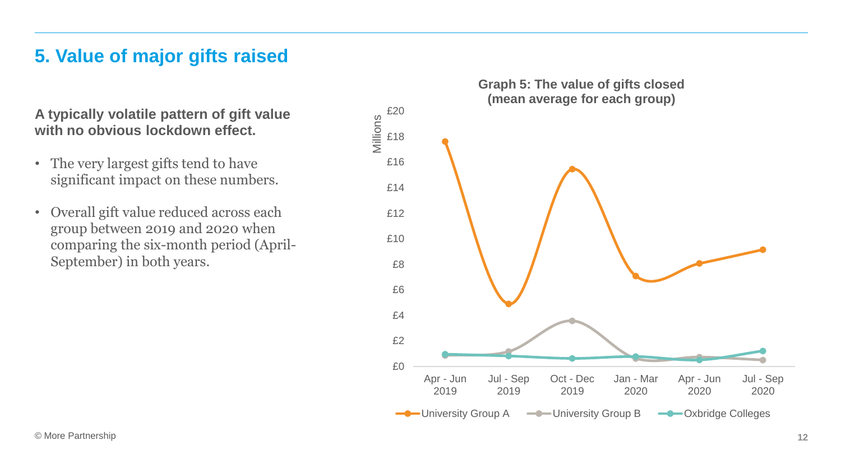#### **5. Value of major gifts raised**

**A typically volatile pattern of gift value with no obvious lockdown effect.**

- The very largest gifts tend to have significant impact on these numbers.
- Overall gift value reduced across each group between 2019 and 2020 when comparing the six-month period (April-September) in both years.

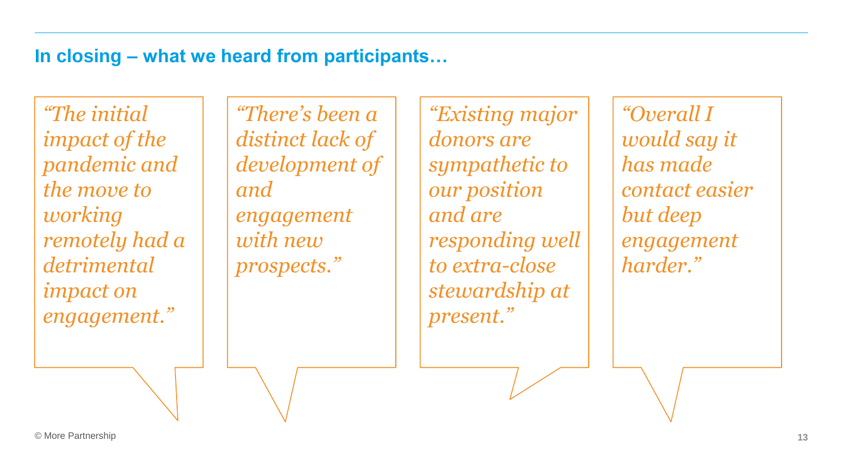# **In closing – what we heard from participants…**

*"The initial impact of the pandemic and the move to working remotely had a detrimental impact on engagement."* 

*"There's been a distinct lack of development of and engagement with new prospects."* 

*"Existing major donors are sympathetic to our position and are responding well to extra-close stewardship at present."*

*"Overall I would say it has made contact easier but deep engagement harder."*